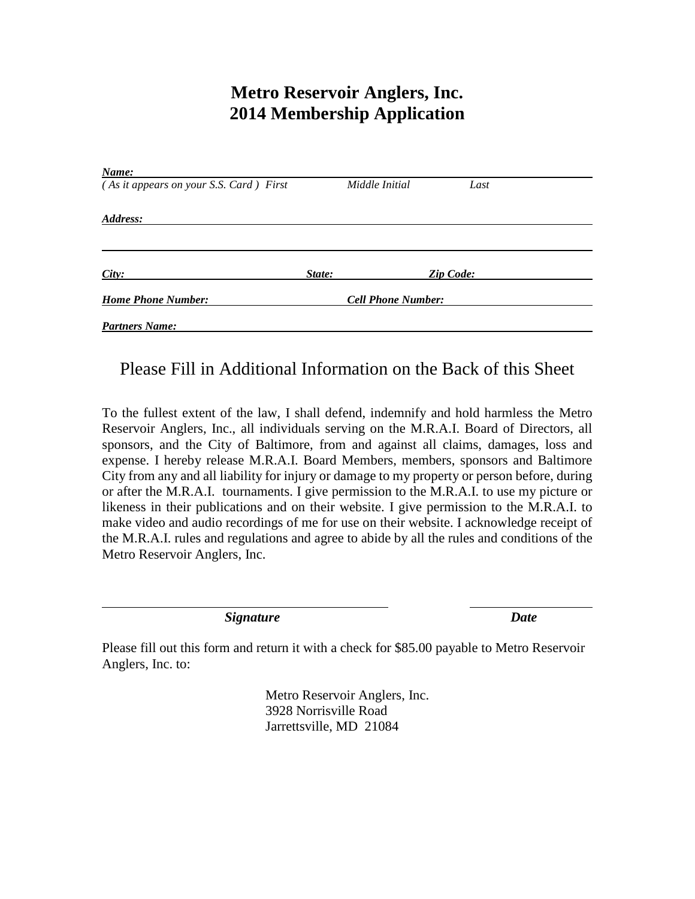### **Metro Reservoir Anglers, Inc. 2014 Membership Application**

| Name:                                   |        |                           |                  |  |
|-----------------------------------------|--------|---------------------------|------------------|--|
| (As it appears on your S.S. Card) First |        | Middle Initial            | Last             |  |
| Address:                                |        |                           |                  |  |
|                                         |        |                           |                  |  |
| City:                                   | State: |                           | <b>Zip Code:</b> |  |
| <b>Home Phone Number:</b>               |        | <b>Cell Phone Number:</b> |                  |  |
| <b>Partners Name:</b>                   |        |                           |                  |  |

#### Please Fill in Additional Information on the Back of this Sheet

To the fullest extent of the law, I shall defend, indemnify and hold harmless the Metro Reservoir Anglers, Inc., all individuals serving on the M.R.A.I. Board of Directors, all sponsors, and the City of Baltimore, from and against all claims, damages, loss and expense. I hereby release M.R.A.I. Board Members, members, sponsors and Baltimore City from any and all liability for injury or damage to my property or person before, during or after the M.R.A.I. tournaments. I give permission to the M.R.A.I. to use my picture or likeness in their publications and on their website. I give permission to the M.R.A.I. to make video and audio recordings of me for use on their website. I acknowledge receipt of the M.R.A.I. rules and regulations and agree to abide by all the rules and conditions of the Metro Reservoir Anglers, Inc.

*Signature Date*

Please fill out this form and return it with a check for \$85.00 payable to Metro Reservoir Anglers, Inc. to:

> Metro Reservoir Anglers, Inc. 3928 Norrisville Road Jarrettsville, MD 21084